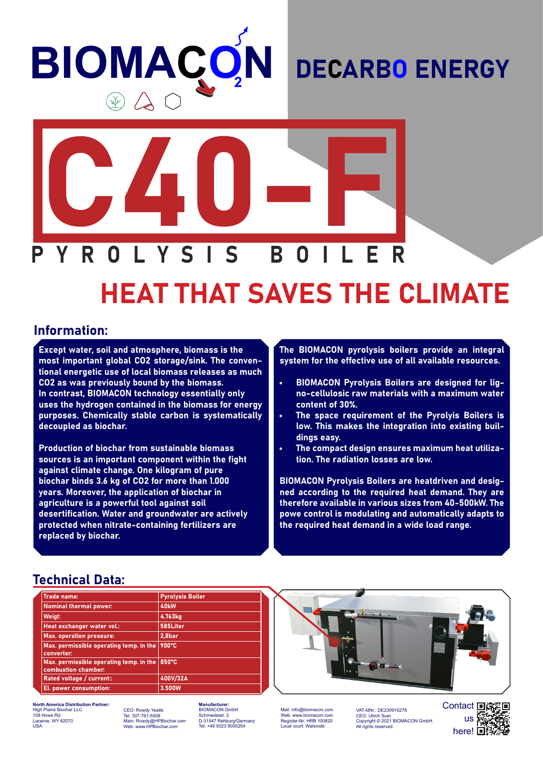# **BIOMAÇO N**

### DECARBO ENERGY



## HEAT THAT SAVES THE CLIMATE

#### Information:

Except water, soil and atmosphere, biomass is the most important global CO2 storage/sink. The conventional energetic use of local biomass releases as much CO2 as was previously bound by the biomass. In contrast, BIOMACON technology essentially only uses the hydrogen contained in the biomass for energy purposes. Chemically stable carbon is systematically decoupled as biochar.

Production of biochar from sustainable biomass sources is an important component within the fight against climate change. One kilogram of pure biochar binds 3.6 kg of CO2 for more than 1.000 years. Moreover, the application of biochar in agriculture is a powerful tool against soil desertification. Water and groundwater are actively protected when nitrate-containing fertilizers are replaced by biochar.

The BIOMACON pyrolysis boilers provide an integral system for the effective use of all available resources.

- BIOMACON Pyrolysis Boilers are designed for ligno-cellulosic raw materials with a maximum water content of 30%.
- The space requirement of the Pyrolyis Boilers is low. This makes the integration into existing buildings easy.
- The compact design ensures maximum heat utilization. The radiation losses are low.

BIOMACON Pyrolysis Boilers are heatdriven and designed according to the required heat demand. They are therefore available in various sizes from 40-500kW. The powe control is modulating and automatically adapts to the required heat demand in a wide load range.

#### Technical Data:

| <b>Trade name:</b>                                             | <b>Pyrolysis Boiler</b> |
|----------------------------------------------------------------|-------------------------|
| <b>Nominal thermal power:</b>                                  | 40 <sub>kW</sub>        |
| Weigt:                                                         | 4.763kg                 |
| Heat exchanger water vol.:                                     | 585Liter                |
| <b>Max. operation pressure:</b>                                | 2.8bar                  |
| Max. permissible operating temp. in the<br>converter:          | 900°C                   |
| Max. permissible operating temp. in the<br>combustion chamber: | 850°C                   |
| Rated voltage / current::                                      | 400V/32A                |
| El. power consumption:                                         | 3.500W                  |



**North America Distribution Partner:** High Plains Biochar LLC 108 Howe Rd Laramie, WY 82070 USA

CEO: Rowdy Yeatts Tel: 307-761-5508 Main: Rowdy@HPBiochar.com Web: www.HPBiochar.com

**Manufacturer:** BIOMACON GmbH Schmiedestr. 2 D-31547 Rehburg/Germany +49 5023 9000254

Mail: info@biomacon.com Web: www.biomacon.com Register-Nr: HRB 100820 Local court: Walsrode

VAT-IdNr.: DE230915278<br>CEO: Ulrich Suer CEO: Ulrich Suer Copyright © 2021 BIOMACON GmbH. All rights reserved.